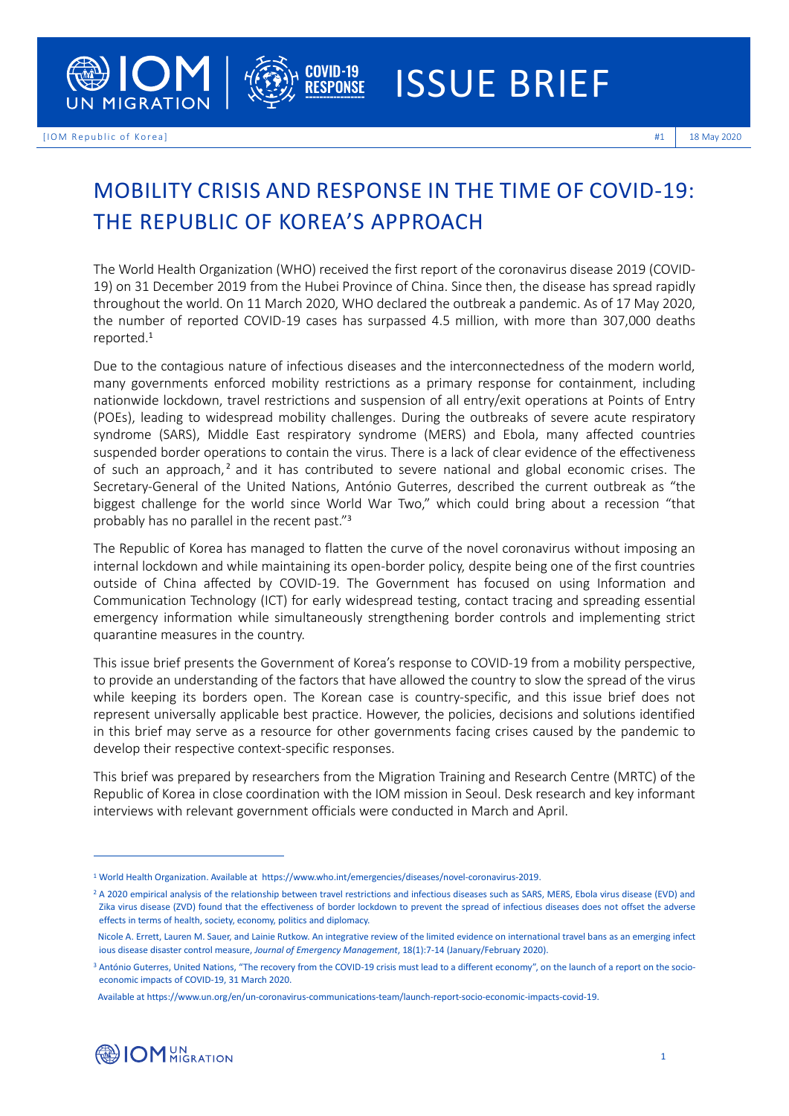



# MOBILITY CRISIS AND RESPONSE IN THE TIME OF COVID-19:

# THE REPUBLIC OF KOREA'S APPROACH

The World Health Organization (WHO) received the first report of the coronavirus disease 2019 (COVID-19) on 31 December 2019 from the Hubei Province of China. Since then, the disease has spread rapidly throughout the world. On 11 March 2020, WHO declared the outbreak a pandemic. As of 17 May 2020, the number of reported COVID-19 cases has surpassed 4.5 million, with more than 307,000 deaths reported. 1

Due to the contagious nature of infectious diseases and the interconnectedness of the modern world, many governments enforced mobility restrictions as a primary response for containment, including nationwide lockdown, travel restrictions and suspension of all entry/exit operations at Points of Entry (POEs), leading to widespread mobility challenges. During the outbreaks of severe acute respiratory syndrome (SARS), Middle East respiratory syndrome (MERS) and Ebola, many affected countries suspended border operations to contain the virus. There is a lack of clear evidence of the effectiveness of such an approach,<sup>2</sup> and it has contributed to severe national and global economic crises. The Secretary-General of the United Nations, António Guterres, described the current outbreak as "the biggest challenge for the world since World War Two," which could bring about a recession "that probably has no parallel in the recent past." 3

The Republic of Korea has managed to flatten the curve of the novel coronavirus without imposing an internal lockdown and while maintaining its open-border policy, despite being one of the first countries outside of China affected by COVID-19. The Government has focused on using Information and Communication Technology (ICT) for early widespread testing, contact tracing and spreading essential emergency information while simultaneously strengthening border controls and implementing strict quarantine measures in the country.

This issue brief presents the Government of Korea's response to COVID-19 from a mobility perspective, to provide an understanding of the factors that have allowed the country to slow the spread of the virus while keeping its borders open. The Korean case is country-specific, and this issue brief does not represent universally applicable best practice. However, the policies, decisions and solutions identified in this brief may serve as a resource for other governments facing crises caused by the pandemic to develop their respective context-specific responses.

This brief was prepared by researchers from the Migration Training and Research Centre (MRTC) of the Republic of Korea in close coordination with the IOM mission in Seoul. Desk research and key informant interviews with relevant government officials were conducted in March and April.

Available a[t https://www.un.org/en/un-coronavirus-communications-team/launch-report-socio-economic-impacts-covid-19.](https://www.un.org/en/un-coronavirus-communications-team/launch-report-socio-economic-impacts-covid-19)



<sup>1</sup> World Health Organization. Available at [https://www.who.int/emergencies/diseases/novel-coronavirus-2019.](https://www.who.int/emergencies/diseases/novel-coronavirus-2019)

<sup>&</sup>lt;sup>2</sup> A 2020 empirical analysis of the relationship between travel restrictions and infectious diseases such as SARS, MERS, Ebola virus disease (EVD) and Zika virus disease (ZVD) found that the effectiveness of border lockdown to prevent the spread of infectious diseases does not offset the adverse effects in terms of health, society, economy, politics and diplomacy.

Nicole A. Errett, Lauren M. Sauer, and Lainie Rutkow. An integrative review of the limited evidence on international travel bans as an emerging infect ious disease disaster control measure, *Journal of Emergency Management*, 18(1):7-14 (January/February 2020).

<sup>&</sup>lt;sup>3</sup> António Guterres, United Nations, "The recovery from the COVID-19 crisis must lead to a different economy", on the launch of a report on the socioeconomic impacts of COVID-19, 31 March 2020.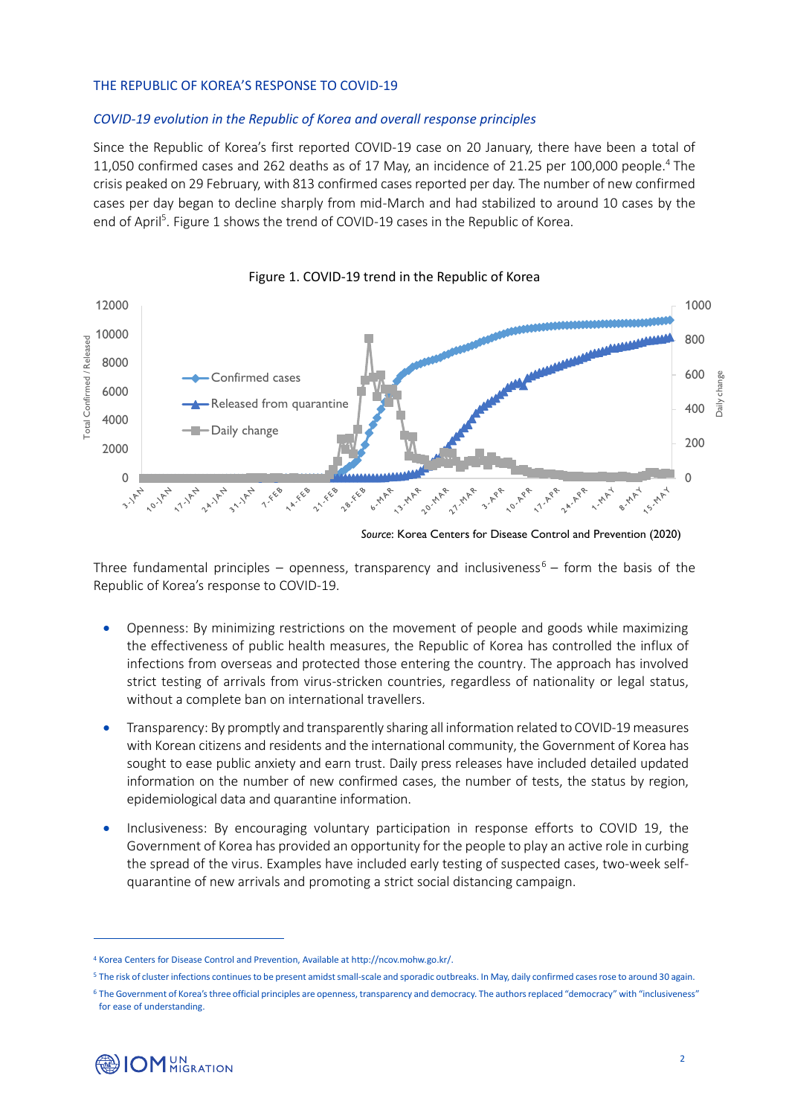#### THE REPUBLIC OF KOREA'S RESPONSE TO COVID-19

#### *COVID-19 evolution in the Republic of Korea and overall response principles*

Since the Republic of Korea's first reported COVID-19 case on 20 January, there have been a total of 11,050 confirmed cases and 262 deaths as of 17 May, an incidence of 21.25 per 100,000 people. <sup>4</sup> The crisis peaked on 29 February, with 813 confirmed cases reported per day. The number of new confirmed cases per day began to decline sharply from mid-March and had stabilized to around 10 cases by the end of April<sup>5</sup>. Figure 1 shows the trend of COVID-19 cases in the Republic of Korea.





*Source*: Korea Centers for Disease Control and Prevention (2020)

Three fundamental principles – openness, transparency and inclusiveness<sup>6</sup> – form the basis of the Republic of Korea's response to COVID-19.

- Openness: By minimizing restrictions on the movement of people and goods while maximizing the effectiveness of public health measures, the Republic of Korea has controlled the influx of infections from overseas and protected those entering the country. The approach has involved strict testing of arrivals from virus-stricken countries, regardless of nationality or legal status, without a complete ban on international travellers.
- Transparency: By promptly and transparently sharing all information related to COVID-19 measures with Korean citizens and residents and the international community, the Government of Korea has sought to ease public anxiety and earn trust. Daily press releases have included detailed updated information on the number of new confirmed cases, the number of tests, the status by region, epidemiological data and quarantine information.
- Inclusiveness: By encouraging voluntary participation in response efforts to COVID 19, the Government of Korea has provided an opportunity for the people to play an active role in curbing the spread of the virus. Examples have included early testing of suspected cases, two-week selfquarantine of new arrivals and promoting a strict social distancing campaign.

<sup>6</sup> The Government of Korea's three official principles are openness, transparency and democracy. The authors replaced "democracy" with "inclusiveness" for ease of understanding.



<sup>4</sup> Korea Centers for Disease Control and Prevention, Available a[t http://ncov.mohw.go.kr/.](http://ncov.mohw.go.kr/)

<sup>5</sup> The risk of cluster infections continues to be present amidst small-scale and sporadic outbreaks. In May, daily confirmed cases rose to around 30 again.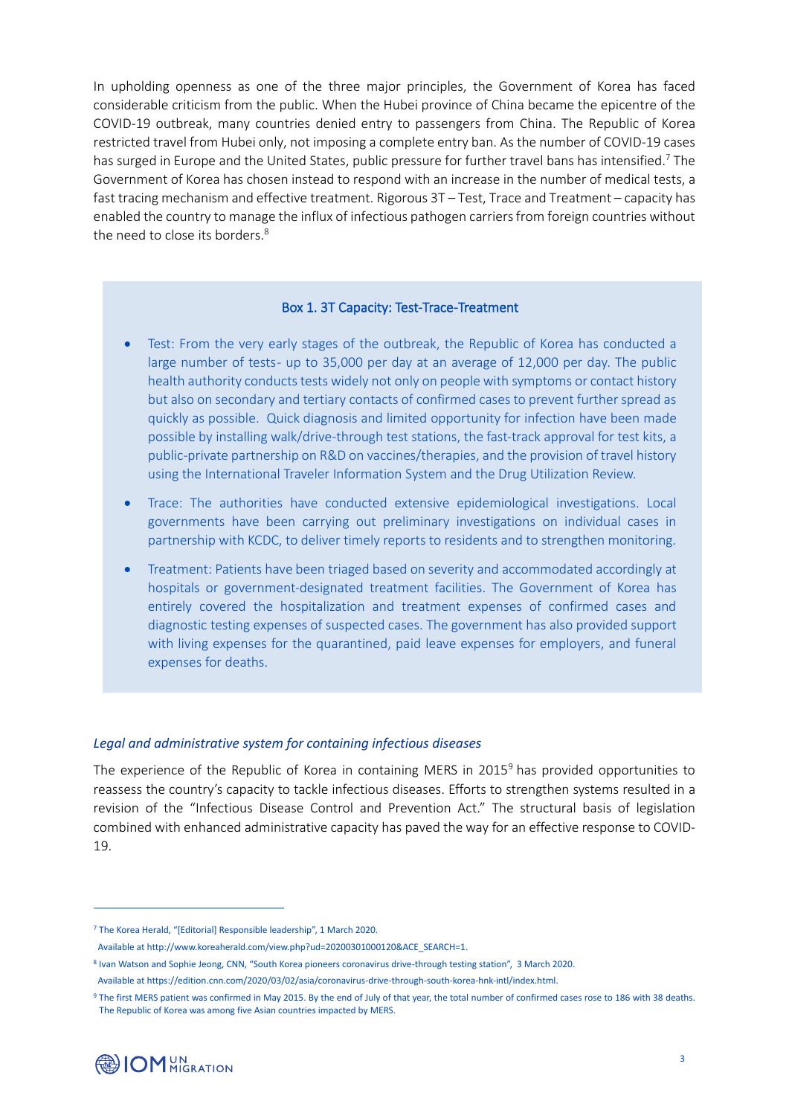In upholding openness as one of the three major principles, the Government of Korea has faced considerable criticism from the public. When the Hubei province of China became the epicentre of the COVID-19 outbreak, many countries denied entry to passengers from China. The Republic of Korea restricted travel from Hubei only, not imposing a complete entry ban. As the number of COVID-19 cases has surged in Europe and the United States, public pressure for further travel bans has intensified. <sup>7</sup> The Government of Korea has chosen instead to respond with an increase in the number of medical tests, a fast tracing mechanism and effective treatment. Rigorous 3T – Test, Trace and Treatment – capacity has enabled the country to manage the influx of infectious pathogen carriers from foreign countries without the need to close its borders.<sup>8</sup>

#### Box 1. 3T Capacity: Test-Trace-Treatment

- Test: From the very early stages of the outbreak, the Republic of Korea has conducted a large number of tests- up to 35,000 per day at an average of 12,000 per day. The public health authority conducts tests widely not only on people with symptoms or contact history but also on secondary and tertiary contacts of confirmed cases to prevent further spread as quickly as possible. Quick diagnosis and limited opportunity for infection have been made possible by installing walk/drive-through test stations, the fast-track approval for test kits, a public-private partnership on R&D on vaccines/therapies, and the provision of travel history using the International Traveler Information System and the Drug Utilization Review.
- Trace: The authorities have conducted extensive epidemiological investigations. Local governments have been carrying out preliminary investigations on individual cases in partnership with KCDC, to deliver timely reports to residents and to strengthen monitoring.
- Treatment: Patients have been triaged based on severity and accommodated accordingly at hospitals or government-designated treatment facilities. The Government of Korea has entirely covered the hospitalization and treatment expenses of confirmed cases and diagnostic testing expenses of suspected cases. The government has also provided support with living expenses for the quarantined, paid leave expenses for employers, and funeral expenses for deaths.

#### *Legal and administrative system for containing infectious diseases*

The experience of the Republic of Korea in containing MERS in 2015<sup>9</sup> has provided opportunities to reassess the country's capacity to tackle infectious diseases. Efforts to strengthen systems resulted in a revision of the "Infectious Disease Control and Prevention Act." The structural basis of legislation combined with enhanced administrative capacity has paved the way for an effective response to COVID-19.

<sup>7</sup> The Korea Herald, "[Editorial] Responsible leadership", 1 March 2020.

Available a[t http://www.koreaherald.com/view.php?ud=20200301000120&ACE\\_SEARCH=1.](http://www.koreaherald.com/view.php?ud=20200301000120&ACE_SEARCH=1)

<sup>&</sup>lt;sup>8</sup> Ivan Watson and Sophie Jeong, CNN, "South Korea pioneers coronavirus drive-through testing station", 3 March 2020.

Available a[t https://edition.cnn.com/2020/03/02/asia/coronavirus-drive-through-south-korea-hnk-intl/index.html.](https://edition.cnn.com/2020/03/02/asia/coronavirus-drive-through-south-korea-hnk-intl/index.html)

<sup>&</sup>lt;sup>9</sup> The first MERS patient was confirmed in May 2015. By the end of July of that year, the total number of confirmed cases rose to 186 with 38 deaths. The Republic of Korea was among five Asian countries impacted by MERS.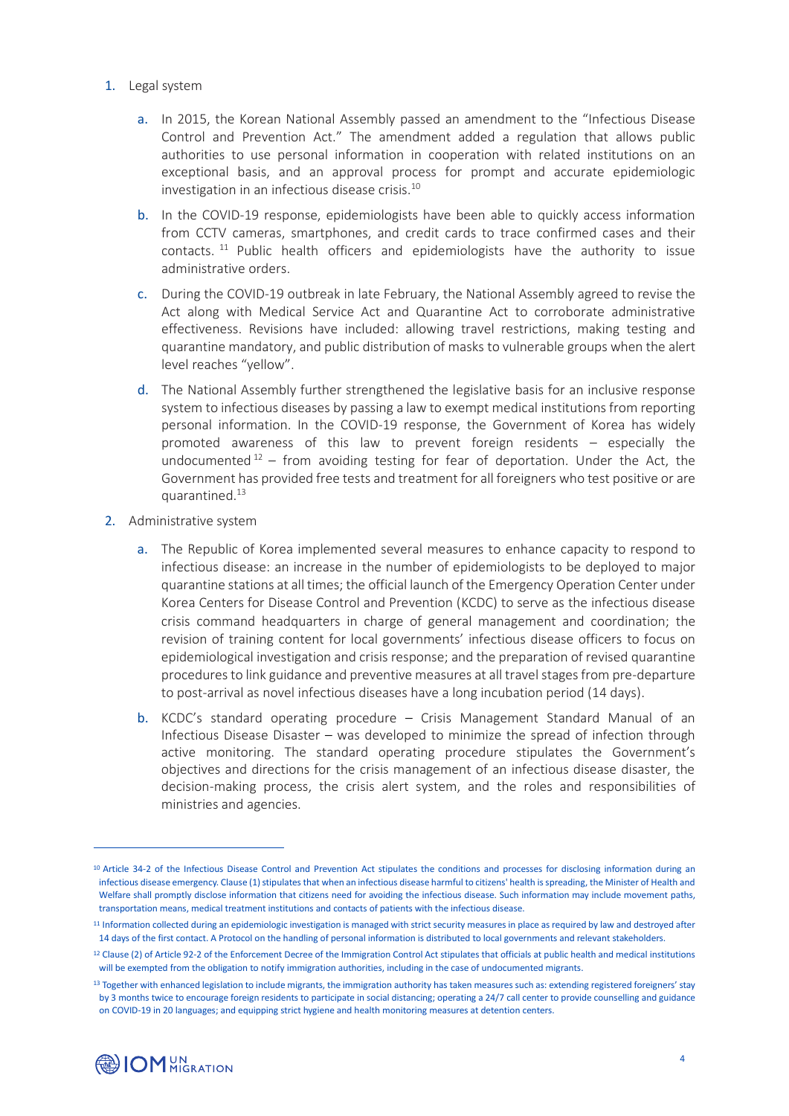- 1. Legal system
	- a. In 2015, the Korean National Assembly passed an amendment to the "Infectious Disease Control and Prevention Act." The amendment added a regulation that allows public authorities to use personal information in cooperation with related institutions on an exceptional basis, and an approval process for prompt and accurate epidemiologic investigation in an infectious disease crisis.<sup>10</sup>
	- b. In the COVID-19 response, epidemiologists have been able to quickly access information from CCTV cameras, smartphones, and credit cards to trace confirmed cases and their contacts. <sup>11</sup> Public health officers and epidemiologists have the authority to issue administrative orders.
	- c. During the COVID-19 outbreak in late February, the National Assembly agreed to revise the Act along with Medical Service Act and Quarantine Act to corroborate administrative effectiveness. Revisions have included: allowing travel restrictions, making testing and quarantine mandatory, and public distribution of masks to vulnerable groups when the alert level reaches "yellow".
	- d. The National Assembly further strengthened the legislative basis for an inclusive response system to infectious diseases by passing a law to exempt medical institutions from reporting personal information. In the COVID-19 response, the Government of Korea has widely promoted awareness of this law to prevent foreign residents – especially the undocumented  $12 -$  from avoiding testing for fear of deportation. Under the Act, the Government has provided free tests and treatment for all foreigners who test positive or are quarantined. 13
- 2. Administrative system
	- a. The Republic of Korea implemented several measures to enhance capacity to respond to infectious disease: an increase in the number of epidemiologists to be deployed to major quarantine stations at all times; the official launch of the Emergency Operation Center under Korea Centers for Disease Control and Prevention (KCDC) to serve as the infectious disease crisis command headquarters in charge of general management and coordination; the revision of training content for local governments' infectious disease officers to focus on epidemiological investigation and crisis response; and the preparation of revised quarantine procedures to link guidance and preventive measures at all travel stages from pre-departure to post-arrival as novel infectious diseases have a long incubation period (14 days).
	- b. KCDC's standard operating procedure Crisis Management Standard Manual of an Infectious Disease Disaster – was developed to minimize the spread of infection through active monitoring. The standard operating procedure stipulates the Government's objectives and directions for the crisis management of an infectious disease disaster, the decision-making process, the crisis alert system, and the roles and responsibilities of ministries and agencies.

<sup>&</sup>lt;sup>13</sup> Together with enhanced legislation to include migrants, the immigration authority has taken measures such as: extending registered foreigners' stay by 3 months twice to encourage foreign residents to participate in social distancing; operating a 24/7 call center to provide counselling and guidance on COVID-19 in 20 languages; and equipping strict hygiene and health monitoring measures at detention centers.



<sup>&</sup>lt;sup>10</sup> Article 34-2 of the Infectious Disease Control and Prevention Act stipulates the conditions and processes for disclosing information during an infectious disease emergency. Clause (1) stipulates that when an infectious disease harmful to citizens' health is spreading, the Minister of Health and Welfare shall promptly disclose information that citizens need for avoiding the infectious disease. Such information may include movement paths, transportation means, medical treatment institutions and contacts of patients with the infectious disease.

<sup>11</sup> Information collected during an epidemiologic investigation is managed with strict security measures in place as required by law and destroyed after 14 days of the first contact. A Protocol on the handling of personal information is distributed to local governments and relevant stakeholders.

<sup>&</sup>lt;sup>12</sup> Clause (2) of Article 92-2 of the Enforcement Decree of the Immigration Control Act stipulates that officials at public health and medical institutions will be exempted from the obligation to notify immigration authorities, including in the case of undocumented migrants.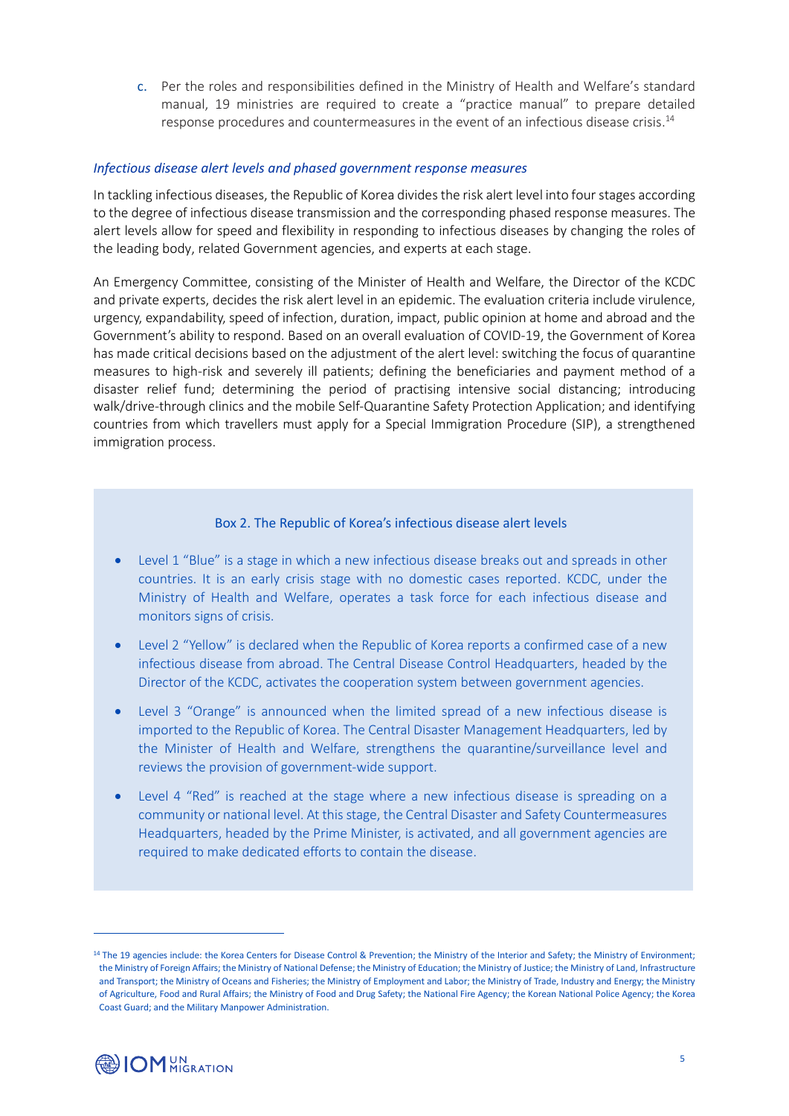c. Per the roles and responsibilities defined in the Ministry of Health and Welfare's standard manual, 19 ministries are required to create a "practice manual" to prepare detailed response procedures and countermeasures in the event of an infectious disease crisis. $^{14}$ 

#### *Infectious disease alert levels and phased government response measures*

In tackling infectious diseases, the Republic of Korea divides the risk alert level into four stages according to the degree of infectious disease transmission and the corresponding phased response measures. The alert levels allow for speed and flexibility in responding to infectious diseases by changing the roles of the leading body, related Government agencies, and experts at each stage.

An Emergency Committee, consisting of the Minister of Health and Welfare, the Director of the KCDC and private experts, decides the risk alert level in an epidemic. The evaluation criteria include virulence, urgency, expandability, speed of infection, duration, impact, public opinion at home and abroad and the Government's ability to respond. Based on an overall evaluation of COVID-19, the Government of Korea has made critical decisions based on the adjustment of the alert level: switching the focus of quarantine measures to high-risk and severely ill patients; defining the beneficiaries and payment method of a disaster relief fund; determining the period of practising intensive social distancing; introducing walk/drive-through clinics and the mobile Self-Quarantine Safety Protection Application; and identifying countries from which travellers must apply for a Special Immigration Procedure (SIP), a strengthened immigration process.

#### Box 2. The Republic of Korea's infectious disease alert levels

- Level 1 "Blue" is a stage in which a new infectious disease breaks out and spreads in other countries. It is an early crisis stage with no domestic cases reported. KCDC, under the Ministry of Health and Welfare, operates a task force for each infectious disease and monitors signs of crisis.
- Level 2 "Yellow" is declared when the Republic of Korea reports a confirmed case of a new infectious disease from abroad. The Central Disease Control Headquarters, headed by the Director of the KCDC, activates the cooperation system between government agencies.
- Level 3 "Orange" is announced when the limited spread of a new infectious disease is imported to the Republic of Korea. The Central Disaster Management Headquarters, led by the Minister of Health and Welfare, strengthens the quarantine/surveillance level and reviews the provision of government-wide support.
- Level 4 "Red" is reached at the stage where a new infectious disease is spreading on a community or national level. At this stage, the Central Disaster and Safety Countermeasures Headquarters, headed by the Prime Minister, is activated, and all government agencies are required to make dedicated efforts to contain the disease.

<sup>&</sup>lt;sup>14</sup> The 19 agencies include: the Korea Centers for Disease Control & Prevention; the Ministry of the Interior and Safety; the Ministry of Environment; the Ministry of Foreign Affairs; the Ministry of National Defense; the Ministry of Education; the Ministry of Justice; the Ministry of Land, Infrastructure and Transport; the Ministry of Oceans and Fisheries; the Ministry of Employment and Labor; the Ministry of Trade, Industry and Energy; the Ministry of Agriculture, Food and Rural Affairs; the Ministry of Food and Drug Safety; the National Fire Agency; the Korean National Police Agency; the Korea Coast Guard; and the Military Manpower Administration.

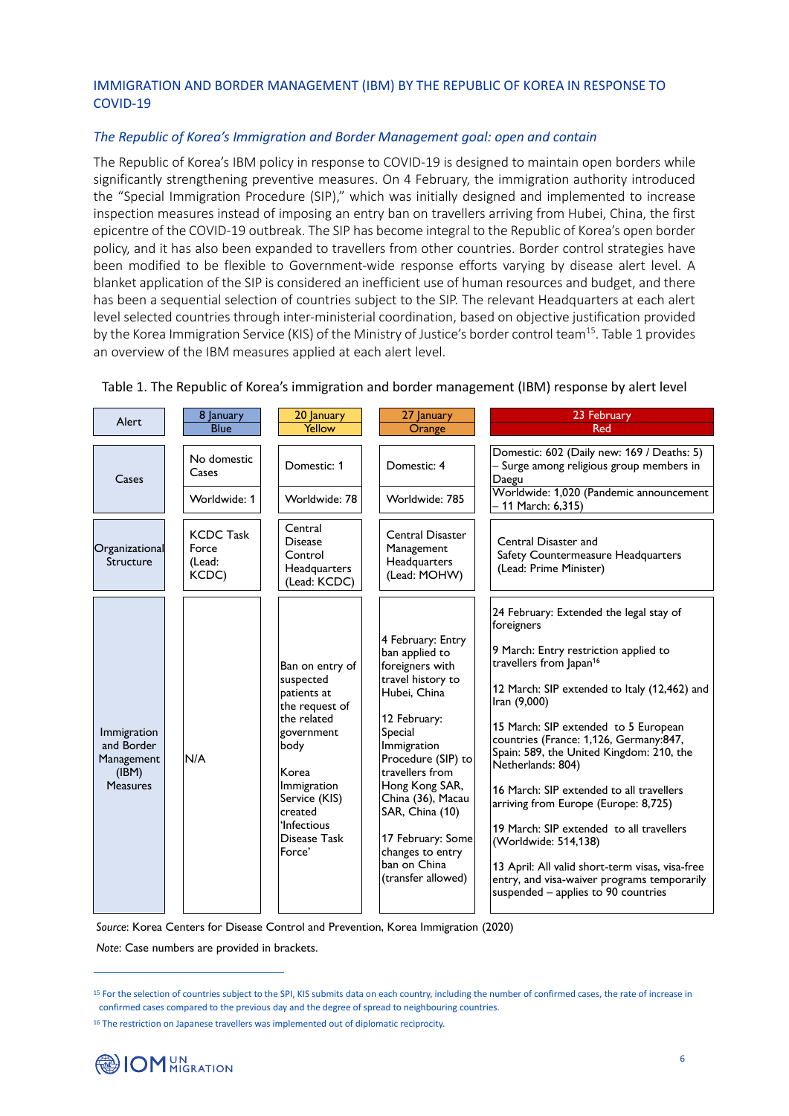# IMMIGRATION AND BORDER MANAGEMENT (IBM) BY THE REPUBLIC OF KOREA IN RESPONSE TO COVID-19

## *The Republic of Korea's Immigration and Border Management goal: open and contain*

The Republic of Korea's IBM policy in response to COVID-19 is designed to maintain open borders while significantly strengthening preventive measures. On 4 February, the immigration authority introduced the "Special Immigration Procedure (SIP)," which was initially designed and implemented to increase inspection measures instead of imposing an entry ban on travellers arriving from Hubei, China, the first epicentre of the COVID-19 outbreak. The SIP has become integral to the Republic of Korea's open border policy, and it has also been expanded to travellers from other countries. Border control strategies have been modified to be flexible to Government-wide response efforts varying by disease alert level. A blanket application of the SIP is considered an inefficient use of human resources and budget, and there has been a sequential selection of countries subject to the SIP. The relevant Headquarters at each alert level selected countries through inter-ministerial coordination, based on objective justification provided by the Korea Immigration Service (KIS) of the Ministry of Justice's border control team<sup>15</sup>. Table 1 provides an overview of the IBM measures applied at each alert level.

| Alert                                                               | 8 January                                    | 20 January                                                                                                                                                                                      | 27 January                                                                                                                                                                                                                                                                                                              | 23 February                                                                                                                                                                                                                                                                                                                                                                                                                                                                                                                                                                                                                                               |  |
|---------------------------------------------------------------------|----------------------------------------------|-------------------------------------------------------------------------------------------------------------------------------------------------------------------------------------------------|-------------------------------------------------------------------------------------------------------------------------------------------------------------------------------------------------------------------------------------------------------------------------------------------------------------------------|-----------------------------------------------------------------------------------------------------------------------------------------------------------------------------------------------------------------------------------------------------------------------------------------------------------------------------------------------------------------------------------------------------------------------------------------------------------------------------------------------------------------------------------------------------------------------------------------------------------------------------------------------------------|--|
|                                                                     | <b>Blue</b>                                  | Yellow                                                                                                                                                                                          | Orange                                                                                                                                                                                                                                                                                                                  | <b>Red</b>                                                                                                                                                                                                                                                                                                                                                                                                                                                                                                                                                                                                                                                |  |
| Cases                                                               | No domestic<br>Cases                         | Domestic: 1                                                                                                                                                                                     | Domestic: 4                                                                                                                                                                                                                                                                                                             | Domestic: 602 (Daily new: 169 / Deaths: 5)<br>Surge among religious group members in<br>Daegu                                                                                                                                                                                                                                                                                                                                                                                                                                                                                                                                                             |  |
|                                                                     | Worldwide: 1                                 | Worldwide: 78                                                                                                                                                                                   | Worldwide: 785                                                                                                                                                                                                                                                                                                          | Worldwide: 1,020 (Pandemic announcement<br>11 March: 6,315)                                                                                                                                                                                                                                                                                                                                                                                                                                                                                                                                                                                               |  |
| Organizational<br>Structure                                         | <b>KCDC Task</b><br>Force<br>(Lead:<br>KCDC) | Central<br><b>Disease</b><br>Control<br>Headquarters<br>(Lead: KCDC)                                                                                                                            | <b>Central Disaster</b><br>Management<br>Headquarters<br>(Lead: MOHW)                                                                                                                                                                                                                                                   | Central Disaster and<br>Safety Countermeasure Headquarters<br>(Lead: Prime Minister)                                                                                                                                                                                                                                                                                                                                                                                                                                                                                                                                                                      |  |
| Immigration<br>and Border<br>Management<br>(IBM)<br><b>Measures</b> | N/A                                          | Ban on entry of<br>suspected<br>patients at<br>the request of<br>the related<br>government<br>body<br>Korea<br>Immigration<br>Service (KIS)<br>created<br>'Infectious<br>Disease Task<br>Force' | 4 February: Entry<br>ban applied to<br>foreigners with<br>travel history to<br>Hubei, China<br>12 February:<br>Special<br>Immigration<br>Procedure (SIP) to<br>travellers from<br>Hong Kong SAR,<br>China (36), Macau<br>SAR, China (10)<br>17 February: Some<br>changes to entry<br>ban on China<br>(transfer allowed) | 24 February: Extended the legal stay of<br>foreigners<br>9 March: Entry restriction applied to<br>travellers from Japan <sup>16</sup><br>12 March: SIP extended to Italy (12,462) and<br>Iran (9,000)<br>15 March: SIP extended to 5 European<br>countries (France: 1,126, Germany:847,<br>Spain: 589, the United Kingdom: 210, the<br>Netherlands: 804)<br>16 March: SIP extended to all travellers<br>arriving from Europe (Europe: 8,725)<br>19 March: SIP extended to all travellers<br>(Worldwide: 514,138)<br>13 April: All valid short-term visas, visa-free<br>entry, and visa-waiver programs temporarily<br>suspended - applies to 90 countries |  |

#### Table 1. The Republic of Korea's immigration and border management (IBM) response by alert level

*Source*: Korea Centers for Disease Control and Prevention, Korea Immigration (2020)

Note: Case numbers are provided in brackets.

<sup>&</sup>lt;sup>16</sup> The restriction on Japanese travellers was implemented out of diplomatic reciprocity.



<sup>15</sup> For the selection of countries subject to the SPI, KIS submits data on each country, including the number of confirmed cases, the rate of increase in confirmed cases compared to the previous day and the degree of spread to neighbouring countries.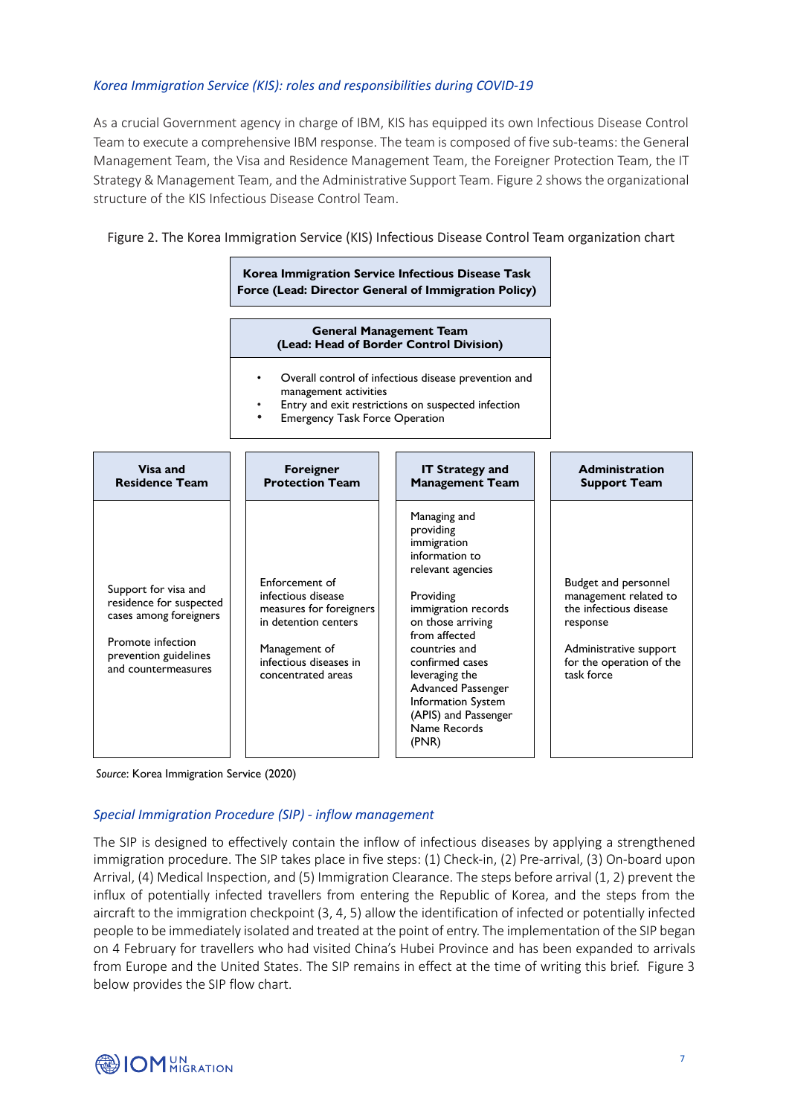# *Korea Immigration Service (KIS): roles and responsibilities during COVID-19*

As a crucial Government agency in charge of IBM, KIS has equipped its own Infectious Disease Control Team to execute a comprehensive IBM response. The team is composed of five sub-teams: the General Management Team, the Visa and Residence Management Team, the Foreigner Protection Team, the IT Strategy & Management Team, and the Administrative Support Team. Figure 2 shows the organizational structure of the KIS Infectious Disease Control Team.

## Figure 2. The Korea Immigration Service (KIS) Infectious Disease Control Team organization chart

**Korea Immigration Service Infectious Disease Task Force (Lead: Director General of Immigration Policy)**

#### **General Management Team (Lead: Head of Border Control Division)**

- Overall control of infectious disease prevention and management activities
- Entry and exit restrictions on suspected infection
- **Emergency Task Force Operation**

| Visa and                                                                                                                                       | <b>Foreigner</b>                                                                                                                                         | <b>IT Strategy and</b>                                                                                                                                                                                                                                                                                       | <b>Administration</b>                                                                                                                                   |
|------------------------------------------------------------------------------------------------------------------------------------------------|----------------------------------------------------------------------------------------------------------------------------------------------------------|--------------------------------------------------------------------------------------------------------------------------------------------------------------------------------------------------------------------------------------------------------------------------------------------------------------|---------------------------------------------------------------------------------------------------------------------------------------------------------|
| <b>Residence Team</b>                                                                                                                          | <b>Protection Team</b>                                                                                                                                   | <b>Management Team</b>                                                                                                                                                                                                                                                                                       | <b>Support Team</b>                                                                                                                                     |
| Support for visa and<br>residence for suspected<br>cases among foreigners<br>Promote infection<br>prevention guidelines<br>and countermeasures | Enforcement of<br>infectious disease<br>measures for foreigners<br>in detention centers<br>Management of<br>infectious diseases in<br>concentrated areas | Managing and<br>providing<br>immigration<br>information to<br>relevant agencies<br>Providing<br>immigration records<br>on those arriving<br>from affected<br>countries and<br>confirmed cases<br>leveraging the<br>Advanced Passenger<br>Information System<br>(APIS) and Passenger<br>Name Records<br>(PNR) | Budget and personnel<br>management related to<br>the infectious disease<br>response<br>Administrative support<br>for the operation of the<br>task force |

*Source*: Korea Immigration Service (2020)

## *Special Immigration Procedure (SIP) - inflow management*

The SIP is designed to effectively contain the inflow of infectious diseases by applying a strengthened immigration procedure. The SIP takes place in five steps: (1) Check-in, (2) Pre-arrival, (3) On-board upon Arrival, (4) Medical Inspection, and (5) Immigration Clearance. The steps before arrival (1, 2) prevent the influx of potentially infected travellers from entering the Republic of Korea, and the steps from the aircraft to the immigration checkpoint (3, 4, 5) allow the identification of infected or potentially infected people to be immediately isolated and treated at the point of entry. The implementation of the SIP began on 4 February for travellers who had visited China's Hubei Province and has been expanded to arrivals from Europe and the United States. The SIP remains in effect at the time of writing this brief. Figure 3 below provides the SIP flow chart.

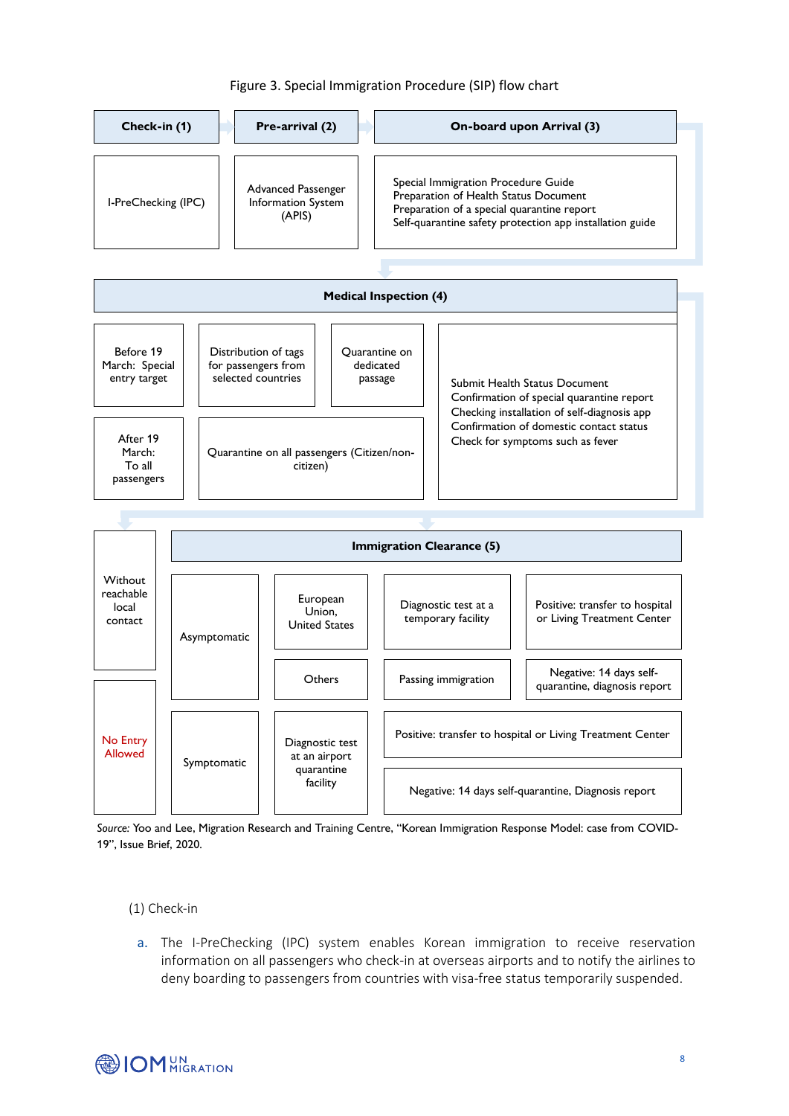# Figure 3. Special Immigration Procedure (SIP) flow chart



*Source:* Yoo and Lee, Migration Research and Training Centre, "Korean Immigration Response Model: case from COVID-19", Issue Brief, 2020.

## (1) Check-in

a. The I-PreChecking (IPC) system enables Korean immigration to receive reservation information on all passengers who check-in at overseas airports and to notify the airlines to deny boarding to passengers from countries with visa-free status temporarily suspended.

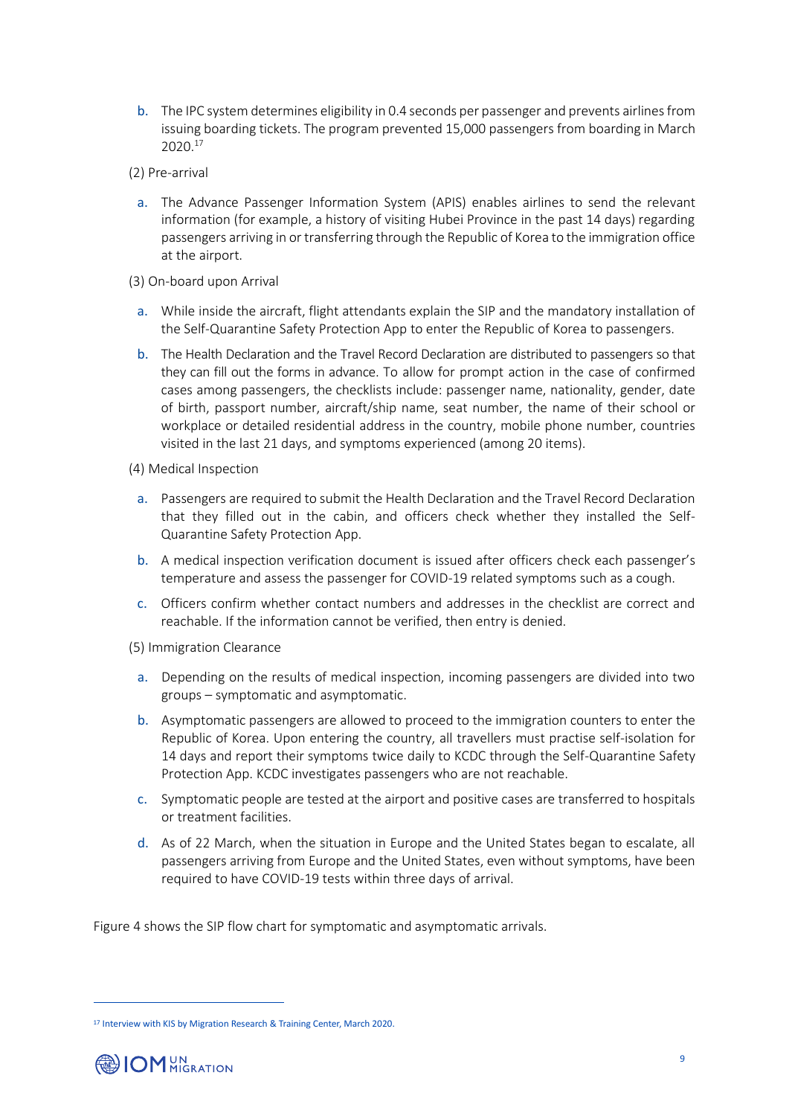- b. The IPC system determines eligibility in 0.4 seconds per passenger and prevents airlines from issuing boarding tickets. The program prevented 15,000 passengers from boarding in March 2020. 17
- (2) Pre-arrival
- a. The Advance Passenger Information System (APIS) enables airlines to send the relevant information (for example, a history of visiting Hubei Province in the past 14 days) regarding passengers arriving in or transferring through the Republic of Korea to the immigration office at the airport.

(3) On-board upon Arrival

- a. While inside the aircraft, flight attendants explain the SIP and the mandatory installation of the Self-Quarantine Safety Protection App to enter the Republic of Korea to passengers.
- b. The Health Declaration and the Travel Record Declaration are distributed to passengers so that they can fill out the forms in advance. To allow for prompt action in the case of confirmed cases among passengers, the checklists include: passenger name, nationality, gender, date of birth, passport number, aircraft/ship name, seat number, the name of their school or workplace or detailed residential address in the country, mobile phone number, countries visited in the last 21 days, and symptoms experienced (among 20 items).

(4) Medical Inspection

- a. Passengers are required to submit the Health Declaration and the Travel Record Declaration that they filled out in the cabin, and officers check whether they installed the Self-Quarantine Safety Protection App.
- b. A medical inspection verification document is issued after officers check each passenger's temperature and assess the passenger for COVID-19 related symptoms such as a cough.
- c. Officers confirm whether contact numbers and addresses in the checklist are correct and reachable. If the information cannot be verified, then entry is denied.

(5) Immigration Clearance

- a. Depending on the results of medical inspection, incoming passengers are divided into two groups – symptomatic and asymptomatic.
- b. Asymptomatic passengers are allowed to proceed to the immigration counters to enter the Republic of Korea. Upon entering the country, all travellers must practise self-isolation for 14 days and report their symptoms twice daily to KCDC through the Self-Quarantine Safety Protection App. KCDC investigates passengers who are not reachable.
- c. Symptomatic people are tested at the airport and positive cases are transferred to hospitals or treatment facilities.
- d. As of 22 March, when the situation in Europe and the United States began to escalate, all passengers arriving from Europe and the United States, even without symptoms, have been required to have COVID-19 tests within three days of arrival.

Figure 4 shows the SIP flow chart for symptomatic and asymptomatic arrivals.

<sup>17</sup> Interview with KIS by Migration Research & Training Center, March 2020.

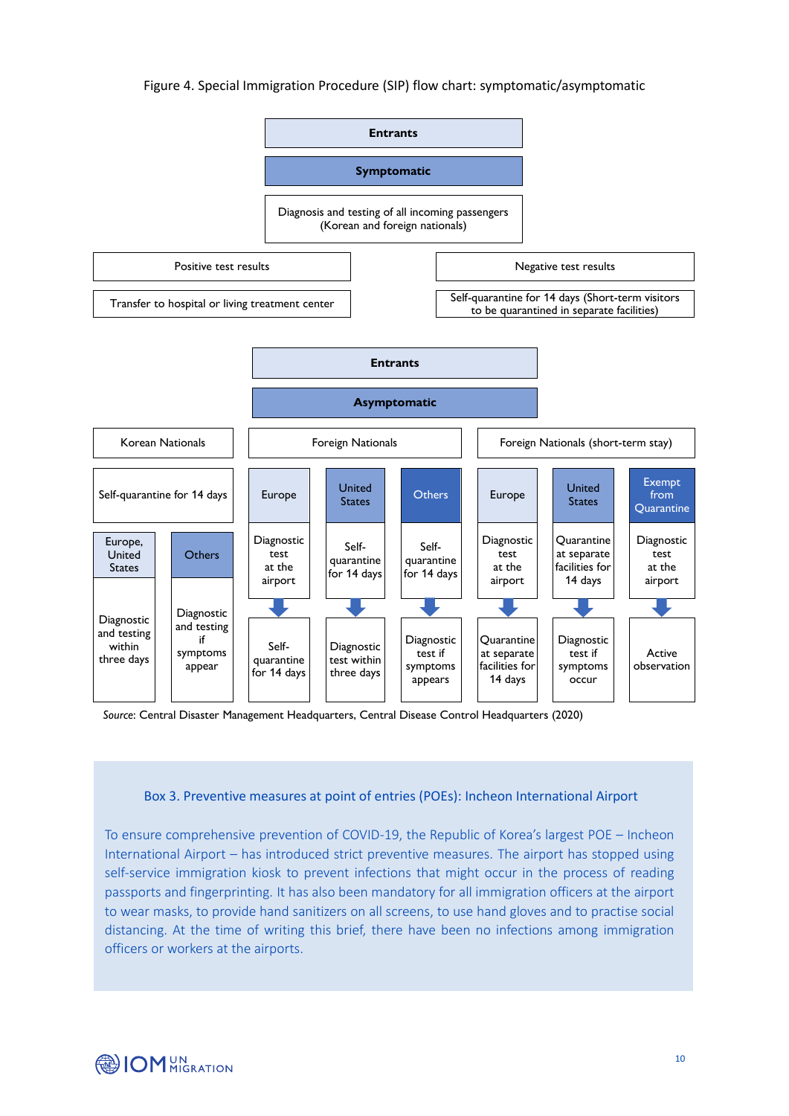## Figure 4. Special Immigration Procedure (SIP) flow chart: symptomatic/asymptomatic



*Source*: Central Disaster Management Headquarters, Central Disease Control Headquarters (2020)

#### Box 3. Preventive measures at point of entries (POEs): Incheon International Airport

To ensure comprehensive prevention of COVID-19, the Republic of Korea's largest POE – Incheon International Airport – has introduced strict preventive measures. The airport has stopped using self-service immigration kiosk to prevent infections that might occur in the process of reading passports and fingerprinting. It has also been mandatory for all immigration officers at the airport to wear masks, to provide hand sanitizers on all screens, to use hand gloves and to practise social distancing. At the time of writing this brief, there have been no infections among immigration officers or workers at the airports.

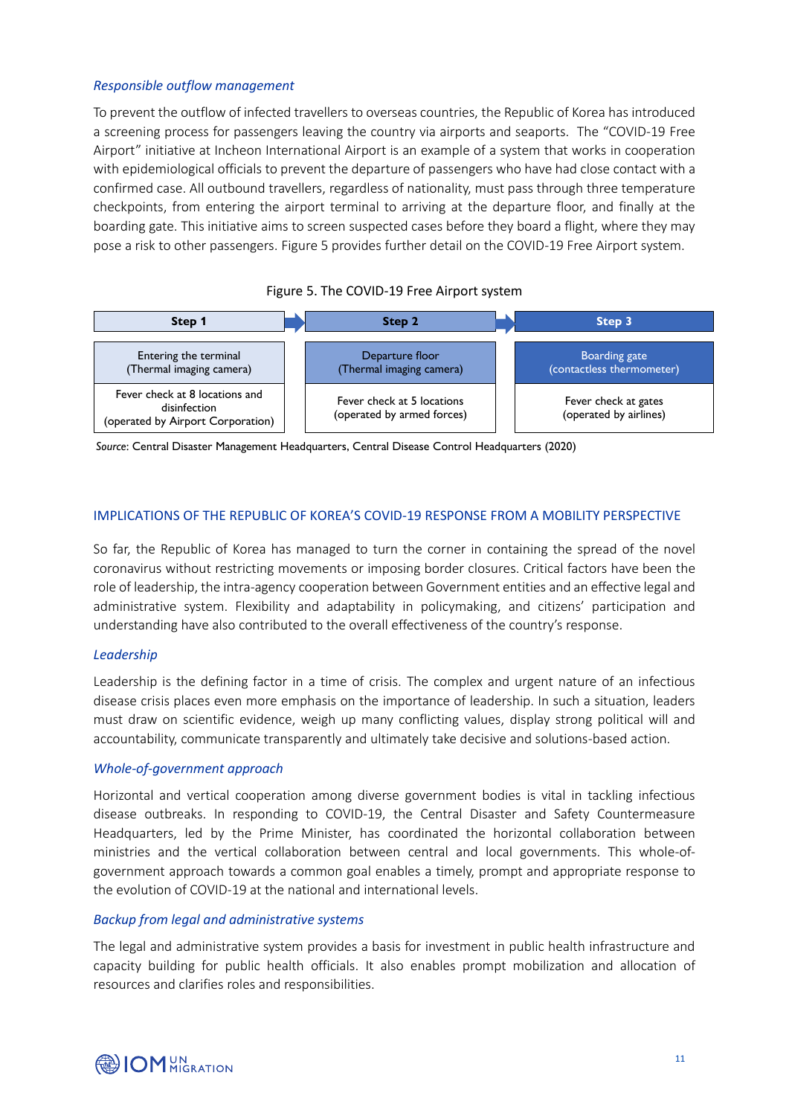## *Responsible outflow management*

To prevent the outflow of infected travellers to overseas countries, the Republic of Korea has introduced a screening process for passengers leaving the country via airports and seaports. The "COVID-19 Free Airport" initiative at Incheon International Airport is an example of a system that works in cooperation with epidemiological officials to prevent the departure of passengers who have had close contact with a confirmed case. All outbound travellers, regardless of nationality, must pass through three temperature checkpoints, from entering the airport terminal to arriving at the departure floor, and finally at the boarding gate. This initiative aims to screen suspected cases before they board a flight, where they may pose a risk to other passengers. Figure 5 provides further detail on the COVID-19 Free Airport system.

## Figure 5. The COVID-19 Free Airport system



*Source*: Central Disaster Management Headquarters, Central Disease Control Headquarters (2020)

# IMPLICATIONS OF THE REPUBLIC OF KOREA'S COVID-19 RESPONSE FROM A MOBILITY PERSPECTIVE

So far, the Republic of Korea has managed to turn the corner in containing the spread of the novel coronavirus without restricting movements or imposing border closures. Critical factors have been the role of leadership, the intra-agency cooperation between Government entities and an effective legal and administrative system. Flexibility and adaptability in policymaking, and citizens' participation and understanding have also contributed to the overall effectiveness of the country's response.

## *Leadership*

Leadership is the defining factor in a time of crisis. The complex and urgent nature of an infectious disease crisis places even more emphasis on the importance of leadership. In such a situation, leaders must draw on scientific evidence, weigh up many conflicting values, display strong political will and accountability, communicate transparently and ultimately take decisive and solutions-based action.

## *Whole-of-government approach*

Horizontal and vertical cooperation among diverse government bodies is vital in tackling infectious disease outbreaks. In responding to COVID-19, the Central Disaster and Safety Countermeasure Headquarters, led by the Prime Minister, has coordinated the horizontal collaboration between ministries and the vertical collaboration between central and local governments. This whole-ofgovernment approach towards a common goal enables a timely, prompt and appropriate response to the evolution of COVID-19 at the national and international levels.

## *Backup from legal and administrative systems*

The legal and administrative system provides a basis for investment in public health infrastructure and capacity building for public health officials. It also enables prompt mobilization and allocation of resources and clarifies roles and responsibilities.